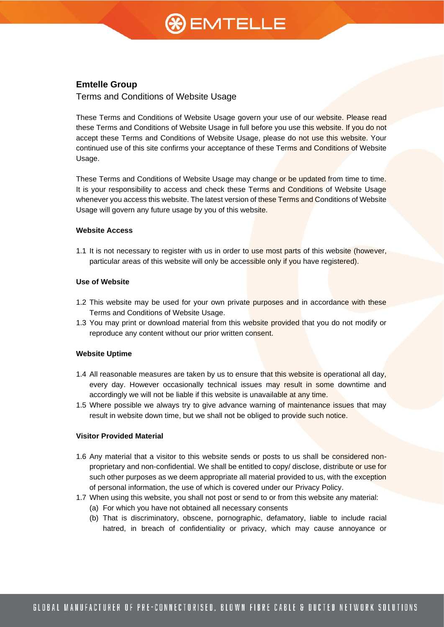# $\mathcal{B}$  EMTELLE

### **Emtelle Group**

Terms and Conditions of Website Usage

These Terms and Conditions of Website Usage govern your use of our website. Please read these Terms and Conditions of Website Usage in full before you use this website. If you do not accept these Terms and Conditions of Website Usage, please do not use this website. Your continued use of this site confirms your acceptance of these Terms and Conditions of Website Usage.

These Terms and Conditions of Website Usage may change or be updated from time to time. It is your responsibility to access and check these Terms and Conditions of Website Usage whenever you access this website. The latest version of these Terms and Conditions of Website Usage will govern any future usage by you of this website.

#### **Website Access**

1.1 It is not necessary to register with us in order to use most parts of this website (however, particular areas of this website will only be accessible only if you have registered).

#### **Use of Website**

- 1.2 This website may be used for your own private purposes and in accordance with these Terms and Conditions of Website Usage.
- 1.3 You may print or download material from this website provided that you do not modify or reproduce any content without our prior written consent.

#### **Website Uptime**

- 1.4 All reasonable measures are taken by us to ensure that this website is operational all day, every day. However occasionally technical issues may result in some downtime and accordingly we will not be liable if this website is unavailable at any time.
- 1.5 Where possible we always try to give advance warning of maintenance issues that may result in website down time, but we shall not be obliged to provide such notice.

### **Visitor Provided Material**

- 1.6 Any material that a visitor to this website sends or posts to us shall be considered nonproprietary and non-confidential. We shall be entitled to copy/ disclose, distribute or use for such other purposes as we deem appropriate all material provided to us, with the exception of personal information, the use of which is covered under our Privacy Policy.
- 1.7 When using this website, you shall not post or send to or from this website any material:
	- (a) For which you have not obtained all necessary consents
	- (b) That is discriminatory, obscene, pornographic, defamatory, liable to include racial hatred, in breach of confidentiality or privacy, which may cause annoyance or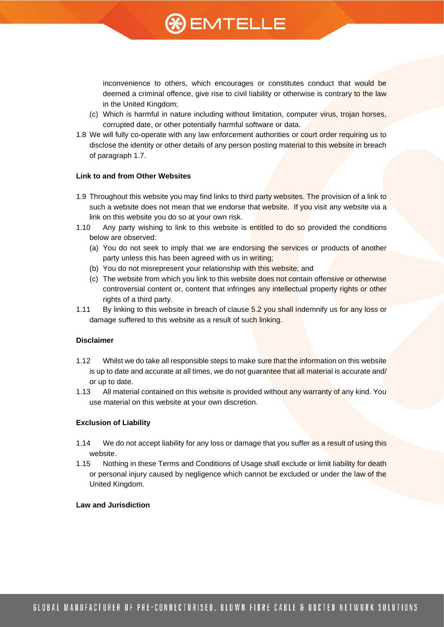## **%)** EMTELLE

inconvenience to others, which encourages or constitutes conduct that would be deemed a criminal offence, give rise to civil liability or otherwise is contrary to the law in the United Kingdom;

- (c) Which is harmful in nature including without limitation, computer virus, trojan horses, corrupted date, or other potentially harmful software or data.
- 1.8 We will fully co-operate with any law enforcement authorities or court order requiring us to disclose the identity or other details of any person posting material to this website in breach of paragraph 1.7.

#### **Link to and from Other Websites**

- 1.9 Throughout this website you may find links to third party websites. The provision of a link to such a website does not mean that we endorse that website. If you visit any website via a link on this website you do so at your own risk.
- 1.10 Any party wishing to link to this website is entitled to do so provided the conditions below are observed:
	- (a) You do not seek to imply that we are endorsing the services or products of another party unless this has been agreed with us in writing;
	- (b) You do not misrepresent your relationship with this website; and
	- (c) The website from which you link to this website does not contain offensive or otherwise controversial content or, content that infringes any intellectual property rights or other rights of a third party.
- 1.11 By linking to this website in breach of clause 5.2 you shall indemnify us for any loss or damage suffered to this website as a result of such linking.

#### **Disclaimer**

- 1.12 Whilst we do take all responsible steps to make sure that the information on this website is up to date and accurate at all times, we do not guarantee that all material is accurate and/ or up to date.
- 1.13 All material contained on this website is provided without any warranty of any kind. You use material on this website at your own discretion.

#### **Exclusion of Liability**

- 1.14 We do not accept liability for any loss or damage that you suffer as a result of using this website.
- 1.15 Nothing in these Terms and Conditions of Usage shall exclude or limit liability for death or personal injury caused by negligence which cannot be excluded or under the law of the United Kingdom.

#### **Law and Jurisdiction**